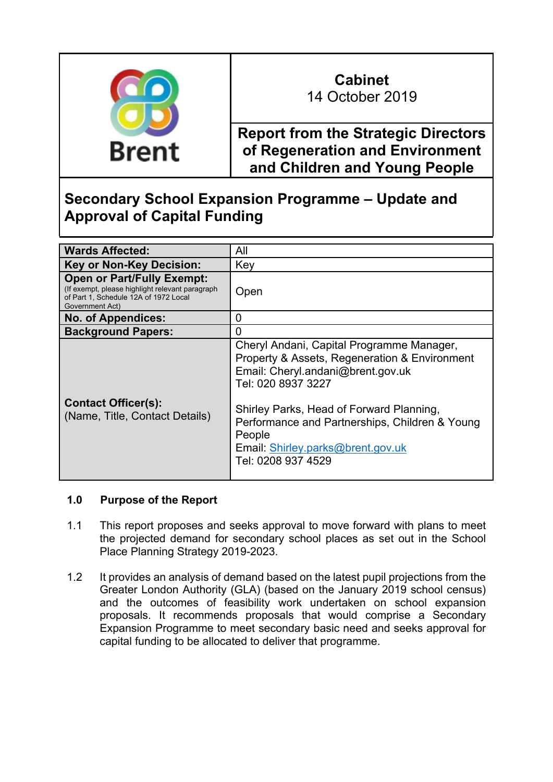

# **Cabinet**

14 October 2019

**Report from the Strategic Directors of Regeneration and Environment and Children and Young People**

# **Secondary School Expansion Programme – Update and Approval of Capital Funding**

| <b>Wards Affected:</b>                                                                                                                           | All                                                                                                                                                                                                                                                                                                                      |
|--------------------------------------------------------------------------------------------------------------------------------------------------|--------------------------------------------------------------------------------------------------------------------------------------------------------------------------------------------------------------------------------------------------------------------------------------------------------------------------|
| <b>Key or Non-Key Decision:</b>                                                                                                                  | Key                                                                                                                                                                                                                                                                                                                      |
| <b>Open or Part/Fully Exempt:</b><br>(If exempt, please highlight relevant paragraph<br>of Part 1, Schedule 12A of 1972 Local<br>Government Act) | Open                                                                                                                                                                                                                                                                                                                     |
| <b>No. of Appendices:</b>                                                                                                                        | O                                                                                                                                                                                                                                                                                                                        |
| <b>Background Papers:</b>                                                                                                                        | O                                                                                                                                                                                                                                                                                                                        |
| <b>Contact Officer(s):</b><br>(Name, Title, Contact Details)                                                                                     | Cheryl Andani, Capital Programme Manager,<br>Property & Assets, Regeneration & Environment<br>Email: Cheryl.andani@brent.gov.uk<br>Tel: 020 8937 3227<br>Shirley Parks, Head of Forward Planning,<br>Performance and Partnerships, Children & Young<br>People<br>Email: Shirley.parks@brent.gov.uk<br>Tel: 0208 937 4529 |

# **1.0 Purpose of the Report**

- 1.1 This report proposes and seeks approval to move forward with plans to meet the projected demand for secondary school places as set out in the School Place Planning Strategy 2019-2023.
- 1.2 It provides an analysis of demand based on the latest pupil projections from the Greater London Authority (GLA) (based on the January 2019 school census) and the outcomes of feasibility work undertaken on school expansion proposals. It recommends proposals that would comprise a Secondary Expansion Programme to meet secondary basic need and seeks approval for capital funding to be allocated to deliver that programme.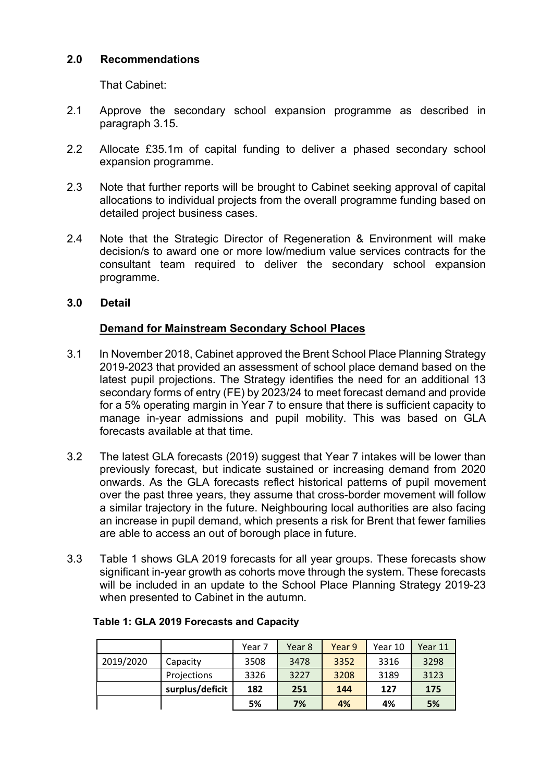#### **2.0 Recommendations**

That Cabinet:

- 2.1 Approve the secondary school expansion programme as described in paragraph 3.15.
- 2.2 Allocate £35.1m of capital funding to deliver a phased secondary school expansion programme.
- 2.3 Note that further reports will be brought to Cabinet seeking approval of capital allocations to individual projects from the overall programme funding based on detailed project business cases.
- 2.4 Note that the Strategic Director of Regeneration & Environment will make decision/s to award one or more low/medium value services contracts for the consultant team required to deliver the secondary school expansion programme.
- **3.0 Detail**

# **Demand for Mainstream Secondary School Places**

- 3.1 In November 2018, Cabinet approved the Brent School Place Planning Strategy 2019-2023 that provided an assessment of school place demand based on the latest pupil projections. The Strategy identifies the need for an additional 13 secondary forms of entry (FE) by 2023/24 to meet forecast demand and provide for a 5% operating margin in Year 7 to ensure that there is sufficient capacity to manage in-year admissions and pupil mobility. This was based on GLA forecasts available at that time.
- 3.2 The latest GLA forecasts (2019) suggest that Year 7 intakes will be lower than previously forecast, but indicate sustained or increasing demand from 2020 onwards. As the GLA forecasts reflect historical patterns of pupil movement over the past three years, they assume that cross-border movement will follow a similar trajectory in the future. Neighbouring local authorities are also facing an increase in pupil demand, which presents a risk for Brent that fewer families are able to access an out of borough place in future.
- 3.3 Table 1 shows GLA 2019 forecasts for all year groups. These forecasts show significant in-year growth as cohorts move through the system. These forecasts will be included in an update to the School Place Planning Strategy 2019-23 when presented to Cabinet in the autumn.

|           |                 | Year 7 | Year 8 | Year 9 | Year 10 | Year 11 |
|-----------|-----------------|--------|--------|--------|---------|---------|
| 2019/2020 | Capacity        | 3508   | 3478   | 3352   | 3316    | 3298    |
|           | Projections     | 3326   | 3227   | 3208   | 3189    | 3123    |
|           | surplus/deficit | 182    | 251    | 144    | 127     | 175     |
|           |                 | 5%     | 7%     | 4%     | 4%      | 5%      |

#### **Table 1: GLA 2019 Forecasts and Capacity**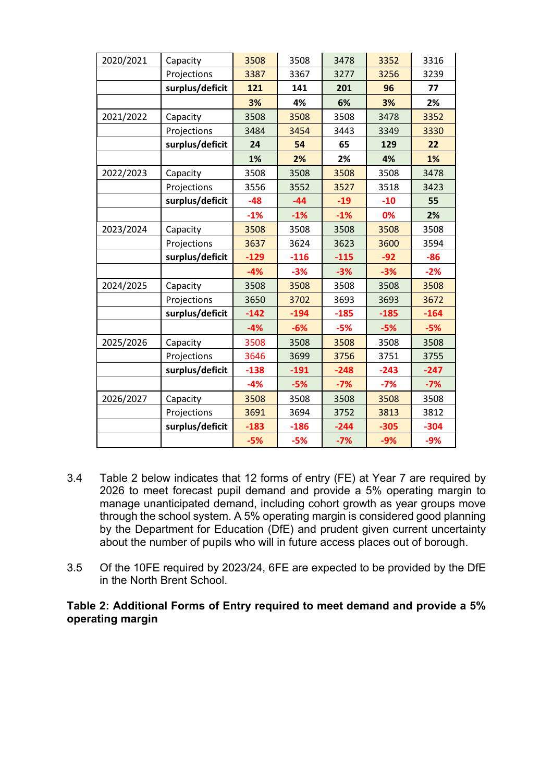| 2020/2021 | Capacity        | 3508   | 3508   | 3478   | 3352   | 3316   |
|-----------|-----------------|--------|--------|--------|--------|--------|
|           | Projections     | 3387   | 3367   | 3277   | 3256   | 3239   |
|           | surplus/deficit | 121    | 141    | 201    | 96     | 77     |
|           |                 | 3%     | 4%     | 6%     | 3%     | 2%     |
| 2021/2022 | Capacity        | 3508   | 3508   | 3508   | 3478   | 3352   |
|           | Projections     | 3484   | 3454   | 3443   | 3349   | 3330   |
|           | surplus/deficit | 24     | 54     | 65     | 129    | 22     |
|           |                 | 1%     | 2%     | 2%     | 4%     | 1%     |
| 2022/2023 | Capacity        | 3508   | 3508   | 3508   | 3508   | 3478   |
|           | Projections     | 3556   | 3552   | 3527   | 3518   | 3423   |
|           | surplus/deficit | $-48$  | $-44$  | $-19$  | $-10$  | 55     |
|           |                 | $-1%$  | $-1%$  | $-1%$  | 0%     | 2%     |
| 2023/2024 | Capacity        | 3508   | 3508   | 3508   | 3508   | 3508   |
|           | Projections     | 3637   | 3624   | 3623   | 3600   | 3594   |
|           | surplus/deficit | $-129$ | $-116$ | $-115$ | $-92$  | $-86$  |
|           |                 | $-4%$  | $-3%$  | $-3%$  | $-3%$  | $-2%$  |
| 2024/2025 | Capacity        | 3508   | 3508   | 3508   | 3508   | 3508   |
|           | Projections     | 3650   | 3702   | 3693   | 3693   | 3672   |
|           | surplus/deficit | $-142$ | $-194$ | $-185$ | $-185$ | $-164$ |
|           |                 | $-4%$  | $-6%$  | $-5%$  | $-5%$  | $-5%$  |
| 2025/2026 | Capacity        | 3508   | 3508   | 3508   | 3508   | 3508   |
|           | Projections     | 3646   | 3699   | 3756   | 3751   | 3755   |
|           | surplus/deficit | $-138$ | $-191$ | $-248$ | $-243$ | $-247$ |
|           |                 | $-4%$  | $-5%$  | $-7%$  | $-7%$  | $-7%$  |
| 2026/2027 | Capacity        | 3508   | 3508   | 3508   | 3508   | 3508   |
|           | Projections     | 3691   | 3694   | 3752   | 3813   | 3812   |
|           | surplus/deficit | $-183$ | $-186$ | $-244$ | $-305$ | $-304$ |
|           |                 | $-5%$  | $-5%$  | $-7%$  | $-9%$  | $-9%$  |

- 3.4 Table 2 below indicates that 12 forms of entry (FE) at Year 7 are required by 2026 to meet forecast pupil demand and provide a 5% operating margin to manage unanticipated demand, including cohort growth as year groups move through the school system. A 5% operating margin is considered good planning by the Department for Education (DfE) and prudent given current uncertainty about the number of pupils who will in future access places out of borough.
- 3.5 Of the 10FE required by 2023/24, 6FE are expected to be provided by the DfE in the North Brent School.

**Table 2: Additional Forms of Entry required to meet demand and provide a 5% operating margin**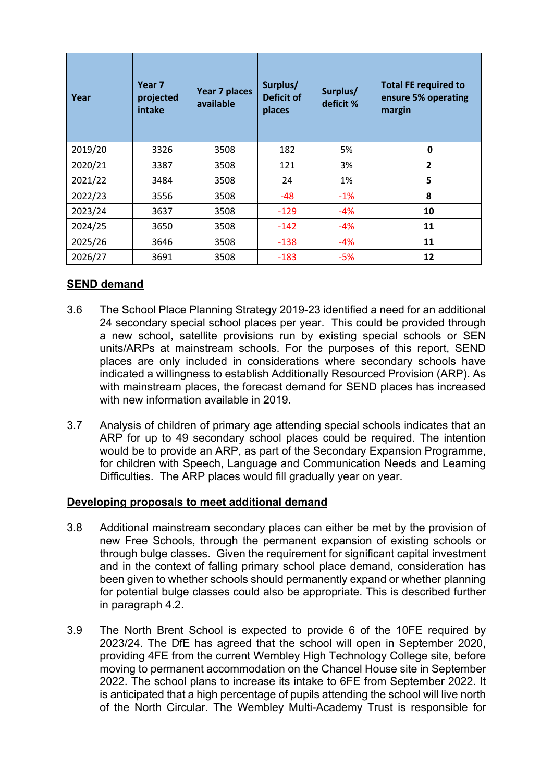| Year    | Year 7<br>projected<br>intake | Year 7 places<br>available | Surplus/<br>Deficit of<br>places | Surplus/<br>deficit % | <b>Total FE required to</b><br>ensure 5% operating<br>margin |
|---------|-------------------------------|----------------------------|----------------------------------|-----------------------|--------------------------------------------------------------|
| 2019/20 | 3326                          | 3508                       | 182                              | 5%                    | 0                                                            |
| 2020/21 | 3387                          | 3508                       | 121                              | 3%                    | 2                                                            |
| 2021/22 | 3484                          | 3508                       | 24                               | 1%                    | 5                                                            |
| 2022/23 | 3556                          | 3508                       | -48                              | $-1\%$                | 8                                                            |
| 2023/24 | 3637                          | 3508                       | $-129$                           | -4%                   | 10                                                           |
| 2024/25 | 3650                          | 3508                       | $-142$                           | -4%                   | 11                                                           |
| 2025/26 | 3646                          | 3508                       | $-138$                           | -4%                   | 11                                                           |
| 2026/27 | 3691                          | 3508                       | $-183$                           | -5%                   | 12                                                           |

# **SEND demand**

- 3.6 The School Place Planning Strategy 2019-23 identified a need for an additional 24 secondary special school places per year. This could be provided through a new school, satellite provisions run by existing special schools or SEN units/ARPs at mainstream schools. For the purposes of this report, SEND places are only included in considerations where secondary schools have indicated a willingness to establish Additionally Resourced Provision (ARP). As with mainstream places, the forecast demand for SEND places has increased with new information available in 2019.
- 3.7 Analysis of children of primary age attending special schools indicates that an ARP for up to 49 secondary school places could be required. The intention would be to provide an ARP, as part of the Secondary Expansion Programme, for children with Speech, Language and Communication Needs and Learning Difficulties. The ARP places would fill gradually year on year.

# **Developing proposals to meet additional demand**

- 3.8 Additional mainstream secondary places can either be met by the provision of new Free Schools, through the permanent expansion of existing schools or through bulge classes. Given the requirement for significant capital investment and in the context of falling primary school place demand, consideration has been given to whether schools should permanently expand or whether planning for potential bulge classes could also be appropriate. This is described further in paragraph 4.2.
- 3.9 The North Brent School is expected to provide 6 of the 10FE required by 2023/24. The DfE has agreed that the school will open in September 2020, providing 4FE from the current Wembley High Technology College site, before moving to permanent accommodation on the Chancel House site in September 2022. The school plans to increase its intake to 6FE from September 2022. It is anticipated that a high percentage of pupils attending the school will live north of the North Circular. The Wembley Multi-Academy Trust is responsible for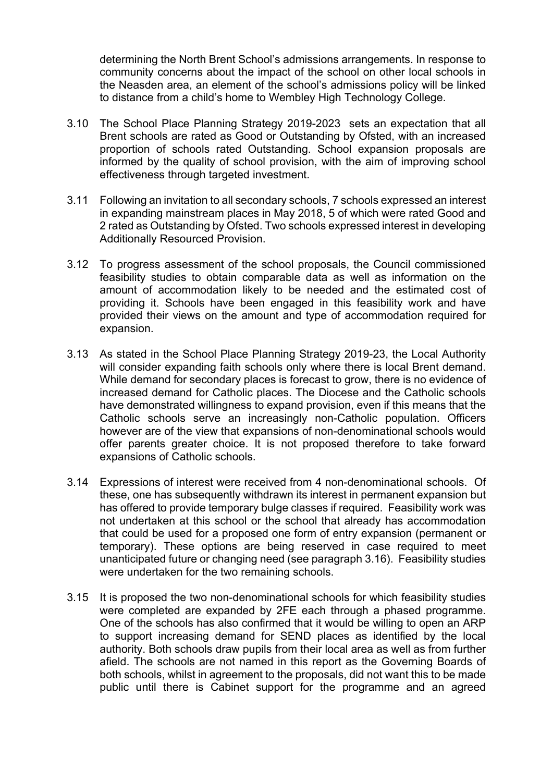determining the North Brent School's admissions arrangements. In response to community concerns about the impact of the school on other local schools in the Neasden area, an element of the school's admissions policy will be linked to distance from a child's home to Wembley High Technology College.

- 3.10 The School Place Planning Strategy 2019-2023 sets an expectation that all Brent schools are rated as Good or Outstanding by Ofsted, with an increased proportion of schools rated Outstanding. School expansion proposals are informed by the quality of school provision, with the aim of improving school effectiveness through targeted investment.
- 3.11 Following an invitation to all secondary schools, 7 schools expressed an interest in expanding mainstream places in May 2018, 5 of which were rated Good and 2 rated as Outstanding by Ofsted. Two schools expressed interest in developing Additionally Resourced Provision.
- 3.12 To progress assessment of the school proposals, the Council commissioned feasibility studies to obtain comparable data as well as information on the amount of accommodation likely to be needed and the estimated cost of providing it. Schools have been engaged in this feasibility work and have provided their views on the amount and type of accommodation required for expansion.
- 3.13 As stated in the School Place Planning Strategy 2019-23, the Local Authority will consider expanding faith schools only where there is local Brent demand. While demand for secondary places is forecast to grow, there is no evidence of increased demand for Catholic places. The Diocese and the Catholic schools have demonstrated willingness to expand provision, even if this means that the Catholic schools serve an increasingly non-Catholic population. Officers however are of the view that expansions of non-denominational schools would offer parents greater choice. It is not proposed therefore to take forward expansions of Catholic schools.
- 3.14 Expressions of interest were received from 4 non-denominational schools. Of these, one has subsequently withdrawn its interest in permanent expansion but has offered to provide temporary bulge classes if required. Feasibility work was not undertaken at this school or the school that already has accommodation that could be used for a proposed one form of entry expansion (permanent or temporary). These options are being reserved in case required to meet unanticipated future or changing need (see paragraph 3.16). Feasibility studies were undertaken for the two remaining schools.
- 3.15 It is proposed the two non-denominational schools for which feasibility studies were completed are expanded by 2FE each through a phased programme. One of the schools has also confirmed that it would be willing to open an ARP to support increasing demand for SEND places as identified by the local authority. Both schools draw pupils from their local area as well as from further afield. The schools are not named in this report as the Governing Boards of both schools, whilst in agreement to the proposals, did not want this to be made public until there is Cabinet support for the programme and an agreed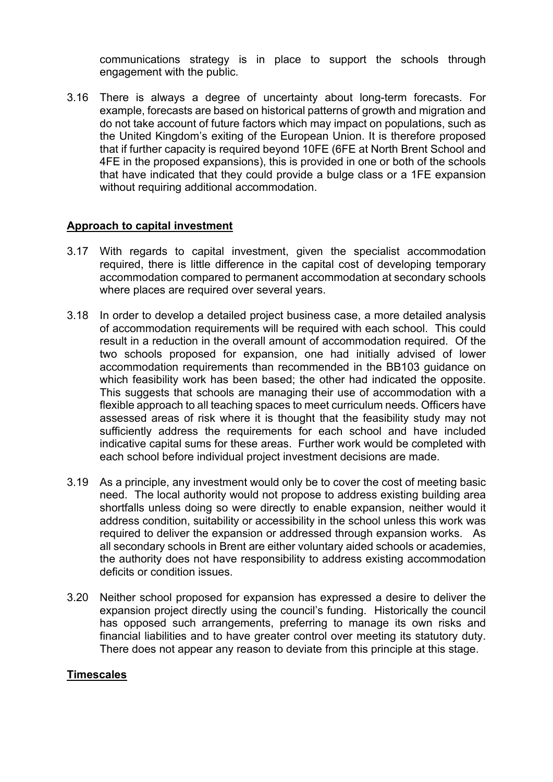communications strategy is in place to support the schools through engagement with the public.

3.16 There is always a degree of uncertainty about long-term forecasts. For example, forecasts are based on historical patterns of growth and migration and do not take account of future factors which may impact on populations, such as the United Kingdom's exiting of the European Union. It is therefore proposed that if further capacity is required beyond 10FE (6FE at North Brent School and 4FE in the proposed expansions), this is provided in one or both of the schools that have indicated that they could provide a bulge class or a 1FE expansion without requiring additional accommodation.

#### **Approach to capital investment**

- 3.17 With regards to capital investment, given the specialist accommodation required, there is little difference in the capital cost of developing temporary accommodation compared to permanent accommodation at secondary schools where places are required over several years.
- 3.18 In order to develop a detailed project business case, a more detailed analysis of accommodation requirements will be required with each school. This could result in a reduction in the overall amount of accommodation required. Of the two schools proposed for expansion, one had initially advised of lower accommodation requirements than recommended in the BB103 guidance on which feasibility work has been based; the other had indicated the opposite. This suggests that schools are managing their use of accommodation with a flexible approach to all teaching spaces to meet curriculum needs. Officers have assessed areas of risk where it is thought that the feasibility study may not sufficiently address the requirements for each school and have included indicative capital sums for these areas. Further work would be completed with each school before individual project investment decisions are made.
- 3.19 As a principle, any investment would only be to cover the cost of meeting basic need. The local authority would not propose to address existing building area shortfalls unless doing so were directly to enable expansion, neither would it address condition, suitability or accessibility in the school unless this work was required to deliver the expansion or addressed through expansion works. As all secondary schools in Brent are either voluntary aided schools or academies, the authority does not have responsibility to address existing accommodation deficits or condition issues.
- 3.20 Neither school proposed for expansion has expressed a desire to deliver the expansion project directly using the council's funding. Historically the council has opposed such arrangements, preferring to manage its own risks and financial liabilities and to have greater control over meeting its statutory duty. There does not appear any reason to deviate from this principle at this stage.

#### **Timescales**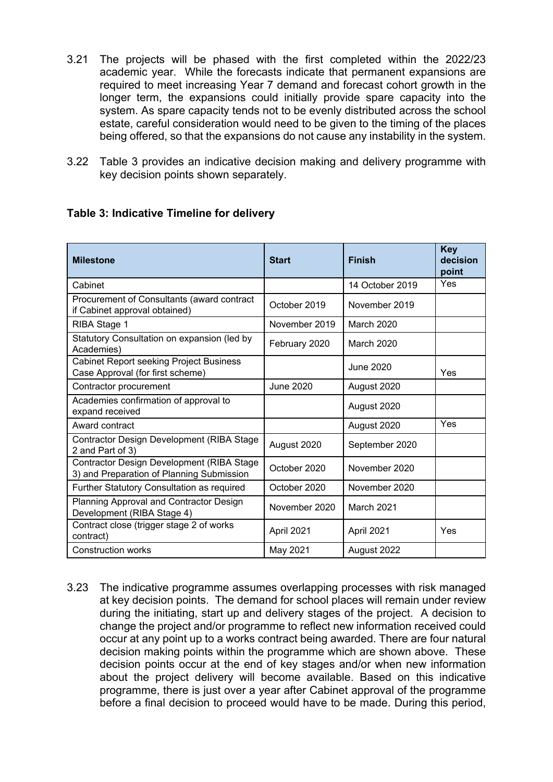- 3.21 The projects will be phased with the first completed within the 2022/23 academic year. While the forecasts indicate that permanent expansions are required to meet increasing Year 7 demand and forecast cohort growth in the longer term, the expansions could initially provide spare capacity into the system. As spare capacity tends not to be evenly distributed across the school estate, careful consideration would need to be given to the timing of the places being offered, so that the expansions do not cause any instability in the system.
- 3.22 Table 3 provides an indicative decision making and delivery programme with key decision points shown separately.

| <b>Milestone</b>                                                                              | <b>Start</b>  | <b>Finish</b>     | <b>Key</b><br>decision<br>point |
|-----------------------------------------------------------------------------------------------|---------------|-------------------|---------------------------------|
| Cabinet                                                                                       |               | 14 October 2019   | Yes                             |
| Procurement of Consultants (award contract<br>if Cabinet approval obtained)                   | October 2019  | November 2019     |                                 |
| RIBA Stage 1                                                                                  | November 2019 | <b>March 2020</b> |                                 |
| Statutory Consultation on expansion (led by<br>Academies)                                     | February 2020 | March 2020        |                                 |
| <b>Cabinet Report seeking Project Business</b><br>Case Approval (for first scheme)            |               | June 2020         | Yes                             |
| Contractor procurement                                                                        | June 2020     | August 2020       |                                 |
| Academies confirmation of approval to<br>expand received                                      |               | August 2020       |                                 |
| Award contract                                                                                |               | August 2020       | Yes                             |
| <b>Contractor Design Development (RIBA Stage</b><br>2 and Part of 3)                          | August 2020   | September 2020    |                                 |
| <b>Contractor Design Development (RIBA Stage</b><br>3) and Preparation of Planning Submission | October 2020  | November 2020     |                                 |
| Further Statutory Consultation as required                                                    | October 2020  | November 2020     |                                 |
| Planning Approval and Contractor Design<br>Development (RIBA Stage 4)                         | November 2020 | March 2021        |                                 |
| Contract close (trigger stage 2 of works<br>contract)                                         | April 2021    | April 2021        | Yes                             |
|                                                                                               |               |                   |                                 |

#### **Table 3: Indicative Timeline for delivery**

3.23 The indicative programme assumes overlapping processes with risk managed at key decision points. The demand for school places will remain under review during the initiating, start up and delivery stages of the project. A decision to change the project and/or programme to reflect new information received could occur at any point up to a works contract being awarded. There are four natural decision making points within the programme which are shown above. These decision points occur at the end of key stages and/or when new information about the project delivery will become available. Based on this indicative programme, there is just over a year after Cabinet approval of the programme before a final decision to proceed would have to be made. During this period,

Construction works May 2021 August 2022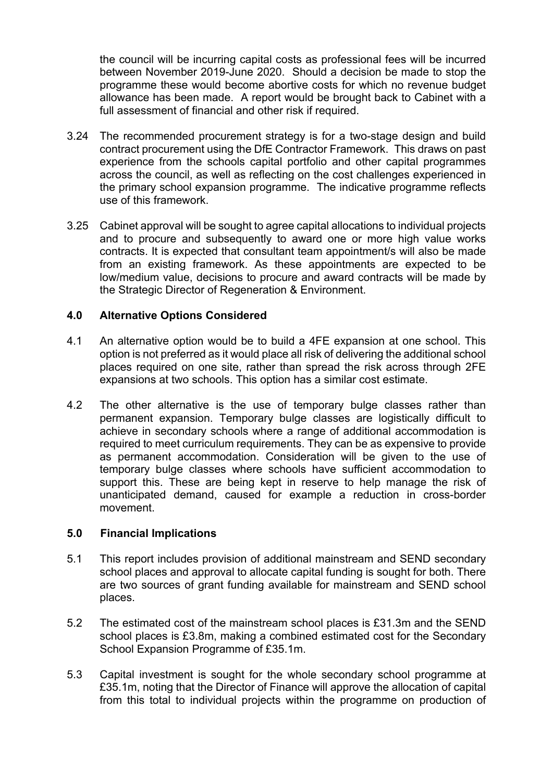the council will be incurring capital costs as professional fees will be incurred between November 2019-June 2020. Should a decision be made to stop the programme these would become abortive costs for which no revenue budget allowance has been made. A report would be brought back to Cabinet with a full assessment of financial and other risk if required.

- 3.24 The recommended procurement strategy is for a two-stage design and build contract procurement using the DfE Contractor Framework. This draws on past experience from the schools capital portfolio and other capital programmes across the council, as well as reflecting on the cost challenges experienced in the primary school expansion programme. The indicative programme reflects use of this framework.
- 3.25 Cabinet approval will be sought to agree capital allocations to individual projects and to procure and subsequently to award one or more high value works contracts. It is expected that consultant team appointment/s will also be made from an existing framework. As these appointments are expected to be low/medium value, decisions to procure and award contracts will be made by the Strategic Director of Regeneration & Environment.

#### **4.0 Alternative Options Considered**

- 4.1 An alternative option would be to build a 4FE expansion at one school. This option is not preferred as it would place all risk of delivering the additional school places required on one site, rather than spread the risk across through 2FE expansions at two schools. This option has a similar cost estimate.
- 4.2 The other alternative is the use of temporary bulge classes rather than permanent expansion. Temporary bulge classes are logistically difficult to achieve in secondary schools where a range of additional accommodation is required to meet curriculum requirements. They can be as expensive to provide as permanent accommodation. Consideration will be given to the use of temporary bulge classes where schools have sufficient accommodation to support this. These are being kept in reserve to help manage the risk of unanticipated demand, caused for example a reduction in cross-border movement.

#### **5.0 Financial Implications**

- 5.1 This report includes provision of additional mainstream and SEND secondary school places and approval to allocate capital funding is sought for both. There are two sources of grant funding available for mainstream and SEND school places.
- 5.2 The estimated cost of the mainstream school places is £31.3m and the SEND school places is £3.8m, making a combined estimated cost for the Secondary School Expansion Programme of £35.1m.
- 5.3 Capital investment is sought for the whole secondary school programme at £35.1m, noting that the Director of Finance will approve the allocation of capital from this total to individual projects within the programme on production of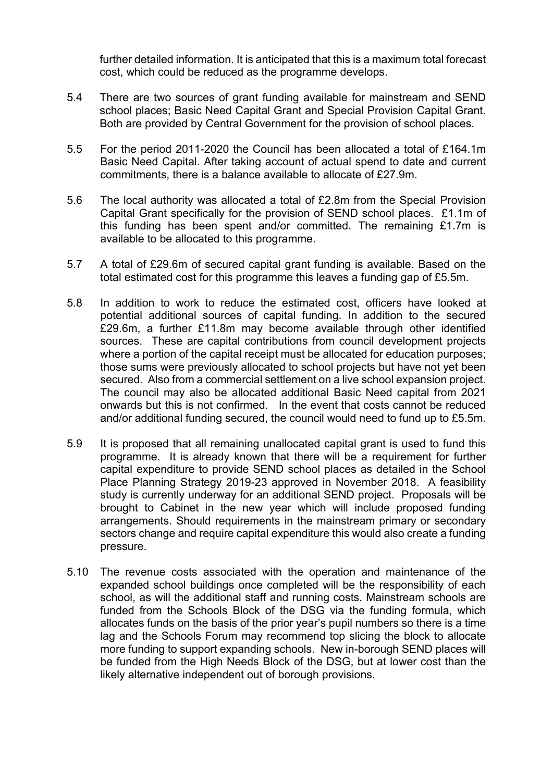further detailed information. It is anticipated that this is a maximum total forecast cost, which could be reduced as the programme develops.

- 5.4 There are two sources of grant funding available for mainstream and SEND school places; Basic Need Capital Grant and Special Provision Capital Grant. Both are provided by Central Government for the provision of school places.
- 5.5 For the period 2011-2020 the Council has been allocated a total of £164.1m Basic Need Capital. After taking account of actual spend to date and current commitments, there is a balance available to allocate of £27.9m.
- 5.6 The local authority was allocated a total of £2.8m from the Special Provision Capital Grant specifically for the provision of SEND school places. £1.1m of this funding has been spent and/or committed. The remaining £1.7m is available to be allocated to this programme.
- 5.7 A total of £29.6m of secured capital grant funding is available. Based on the total estimated cost for this programme this leaves a funding gap of £5.5m.
- 5.8 In addition to work to reduce the estimated cost, officers have looked at potential additional sources of capital funding. In addition to the secured £29.6m, a further £11.8m may become available through other identified sources. These are capital contributions from council development projects where a portion of the capital receipt must be allocated for education purposes; those sums were previously allocated to school projects but have not yet been secured. Also from a commercial settlement on a live school expansion project. The council may also be allocated additional Basic Need capital from 2021 onwards but this is not confirmed. In the event that costs cannot be reduced and/or additional funding secured, the council would need to fund up to £5.5m.
- 5.9 It is proposed that all remaining unallocated capital grant is used to fund this programme. It is already known that there will be a requirement for further capital expenditure to provide SEND school places as detailed in the School Place Planning Strategy 2019-23 approved in November 2018. A feasibility study is currently underway for an additional SEND project. Proposals will be brought to Cabinet in the new year which will include proposed funding arrangements. Should requirements in the mainstream primary or secondary sectors change and require capital expenditure this would also create a funding pressure.
- 5.10 The revenue costs associated with the operation and maintenance of the expanded school buildings once completed will be the responsibility of each school, as will the additional staff and running costs. Mainstream schools are funded from the Schools Block of the DSG via the funding formula, which allocates funds on the basis of the prior year's pupil numbers so there is a time lag and the Schools Forum may recommend top slicing the block to allocate more funding to support expanding schools. New in-borough SEND places will be funded from the High Needs Block of the DSG, but at lower cost than the likely alternative independent out of borough provisions.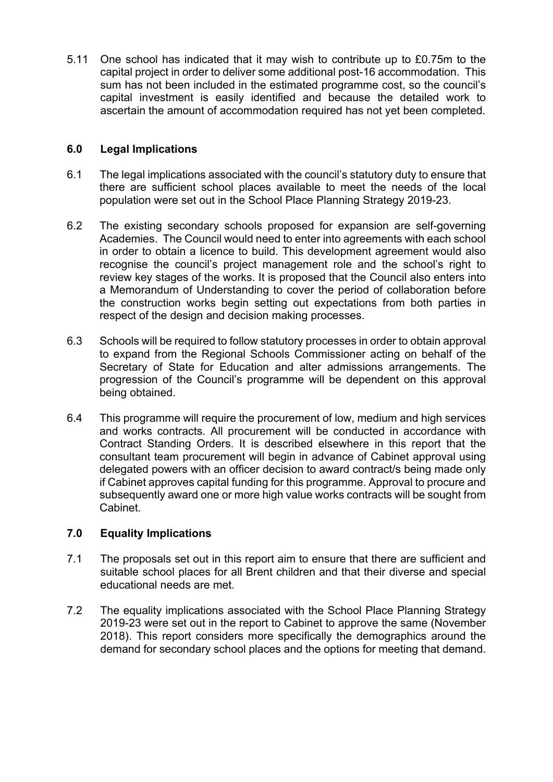5.11 One school has indicated that it may wish to contribute up to £0.75m to the capital project in order to deliver some additional post-16 accommodation. This sum has not been included in the estimated programme cost, so the council's capital investment is easily identified and because the detailed work to ascertain the amount of accommodation required has not yet been completed.

# **6.0 Legal Implications**

- 6.1 The legal implications associated with the council's statutory duty to ensure that there are sufficient school places available to meet the needs of the local population were set out in the School Place Planning Strategy 2019-23.
- 6.2 The existing secondary schools proposed for expansion are self-governing Academies. The Council would need to enter into agreements with each school in order to obtain a licence to build. This development agreement would also recognise the council's project management role and the school's right to review key stages of the works. It is proposed that the Council also enters into a Memorandum of Understanding to cover the period of collaboration before the construction works begin setting out expectations from both parties in respect of the design and decision making processes.
- 6.3 Schools will be required to follow statutory processes in order to obtain approval to expand from the Regional Schools Commissioner acting on behalf of the Secretary of State for Education and alter admissions arrangements. The progression of the Council's programme will be dependent on this approval being obtained.
- 6.4 This programme will require the procurement of low, medium and high services and works contracts. All procurement will be conducted in accordance with Contract Standing Orders. It is described elsewhere in this report that the consultant team procurement will begin in advance of Cabinet approval using delegated powers with an officer decision to award contract/s being made only if Cabinet approves capital funding for this programme. Approval to procure and subsequently award one or more high value works contracts will be sought from Cabinet.

# **7.0 Equality Implications**

- 7.1 The proposals set out in this report aim to ensure that there are sufficient and suitable school places for all Brent children and that their diverse and special educational needs are met.
- 7.2 The equality implications associated with the School Place Planning Strategy 2019-23 were set out in the report to Cabinet to approve the same (November 2018). This report considers more specifically the demographics around the demand for secondary school places and the options for meeting that demand.